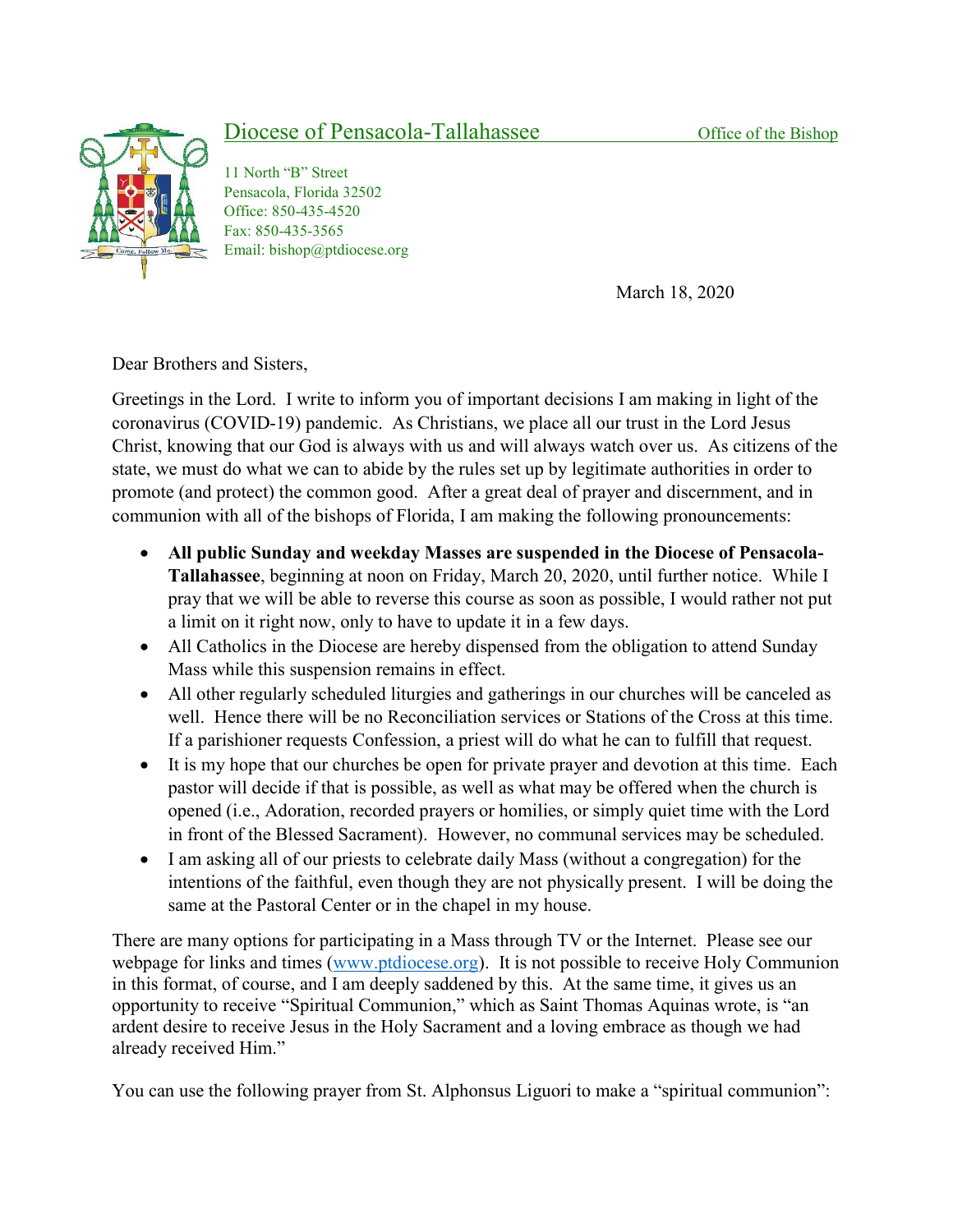## Diocese of Pensacola-Tallahassee Office of the Bishop



11 North "B" Street Pensacola, Florida 32502 Office: 850-435-4520 Fax: 850-435-3565 Email: bishop@ptdiocese.org

March 18, 2020

Dear Brothers and Sisters,

Greetings in the Lord. I write to inform you of important decisions I am making in light of the coronavirus (COVID-19) pandemic. As Christians, we place all our trust in the Lord Jesus Christ, knowing that our God is always with us and will always watch over us. As citizens of the state, we must do what we can to abide by the rules set up by legitimate authorities in order to promote (and protect) the common good. After a great deal of prayer and discernment, and in communion with all of the bishops of Florida, I am making the following pronouncements:

- All public Sunday and weekday Masses are suspended in the Diocese of Pensacola-Tallahassee, beginning at noon on Friday, March 20, 2020, until further notice. While I pray that we will be able to reverse this course as soon as possible, I would rather not put a limit on it right now, only to have to update it in a few days.
- All Catholics in the Diocese are hereby dispensed from the obligation to attend Sunday Mass while this suspension remains in effect.
- All other regularly scheduled liturgies and gatherings in our churches will be canceled as well. Hence there will be no Reconciliation services or Stations of the Cross at this time. If a parishioner requests Confession, a priest will do what he can to fulfill that request.
- It is my hope that our churches be open for private prayer and devotion at this time. Each pastor will decide if that is possible, as well as what may be offered when the church is opened (i.e., Adoration, recorded prayers or homilies, or simply quiet time with the Lord in front of the Blessed Sacrament). However, no communal services may be scheduled.
- I am asking all of our priests to celebrate daily Mass (without a congregation) for the intentions of the faithful, even though they are not physically present. I will be doing the same at the Pastoral Center or in the chapel in my house.

There are many options for participating in a Mass through TV or the Internet. Please see our webpage for links and times (www.ptdiocese.org). It is not possible to receive Holy Communion in this format, of course, and I am deeply saddened by this. At the same time, it gives us an opportunity to receive "Spiritual Communion," which as Saint Thomas Aquinas wrote, is "an ardent desire to receive Jesus in the Holy Sacrament and a loving embrace as though we had already received Him."

You can use the following prayer from St. Alphonsus Liguori to make a "spiritual communion":